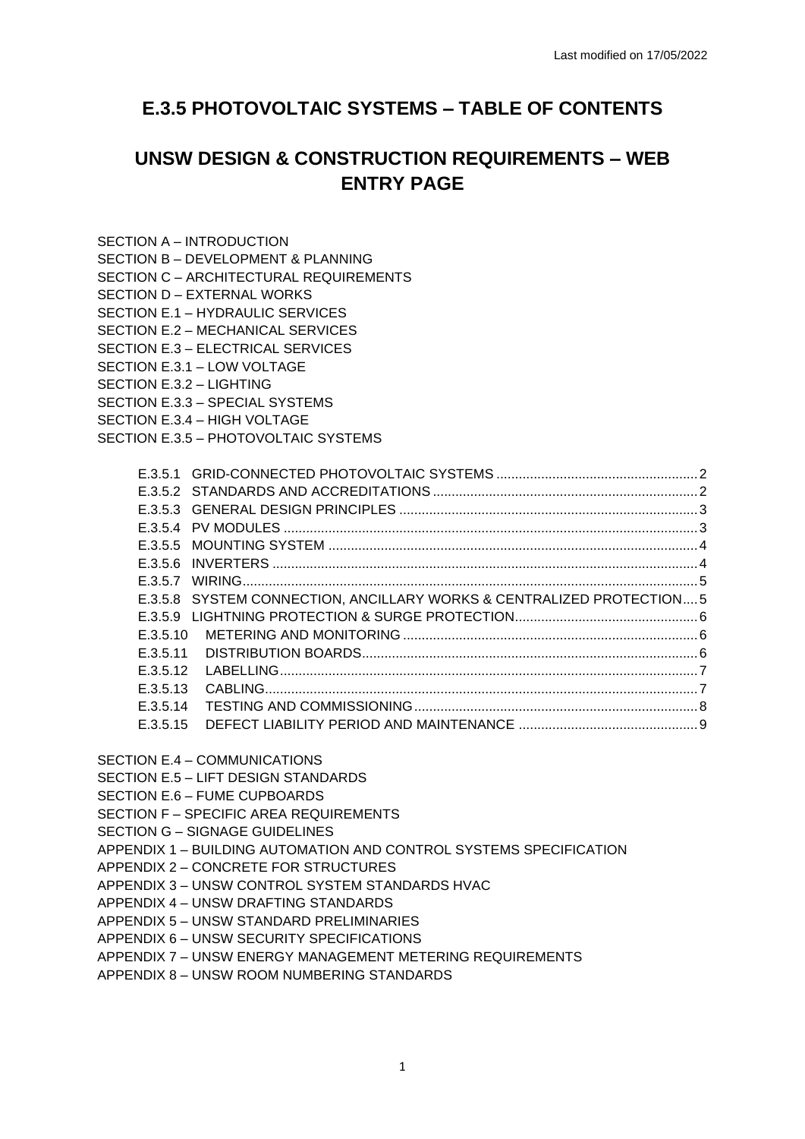# **E.3.5 PHOTOVOLTAIC SYSTEMS – TABLE OF CONTENTS**

# **UNSW DESIGN & CONSTRUCTION REQUIREMENTS – WEB ENTRY PAGE**

## SECTION A – INTRODUCTION

SECTION B – DEVELOPMENT & PLANNING

SECTION C – ARCHITECTURAL REQUIREMENTS

SECTION D – EXTERNAL WORKS

SECTION E.1 – HYDRAULIC SERVICES

SECTION E.2 – MECHANICAL SERVICES

SECTION E.3 – ELECTRICAL SERVICES

SECTION E.3.1 – LOW VOLTAGE

SECTION E.3.2 – LIGHTING

SECTION E.3.3 – SPECIAL SYSTEMS

SECTION E.3.4 – HIGH VOLTAGE

SECTION E.3.5 – PHOTOVOLTAIC SYSTEMS

|          | E.3.5.8 SYSTEM CONNECTION, ANCILLARY WORKS & CENTRALIZED PROTECTION 5 |  |
|----------|-----------------------------------------------------------------------|--|
|          |                                                                       |  |
| E.3.5.10 |                                                                       |  |
| E.3.5.11 |                                                                       |  |
| E.3.5.12 |                                                                       |  |
| E.3.5.13 |                                                                       |  |
| E.3.5.14 |                                                                       |  |
| E.3.5.15 |                                                                       |  |
|          |                                                                       |  |

SECTION E.4 – COMMUNICATIONS

SECTION E.5 – LIFT DESIGN STANDARDS

SECTION E.6 – FUME CUPBOARDS

SECTION F – SPECIFIC AREA REQUIREMENTS

SECTION G – SIGNAGE GUIDELINES

APPENDIX 1 – BUILDING AUTOMATION AND CONTROL SYSTEMS SPECIFICATION

APPENDIX 2 – CONCRETE FOR STRUCTURES

APPENDIX 3 – UNSW CONTROL SYSTEM STANDARDS HVAC

APPENDIX 4 – UNSW DRAFTING STANDARDS

APPENDIX 5 – UNSW STANDARD PRELIMINARIES

APPENDIX 6 – UNSW SECURITY SPECIFICATIONS

APPENDIX 7 – UNSW ENERGY MANAGEMENT METERING REQUIREMENTS

APPENDIX 8 – UNSW ROOM NUMBERING STANDARDS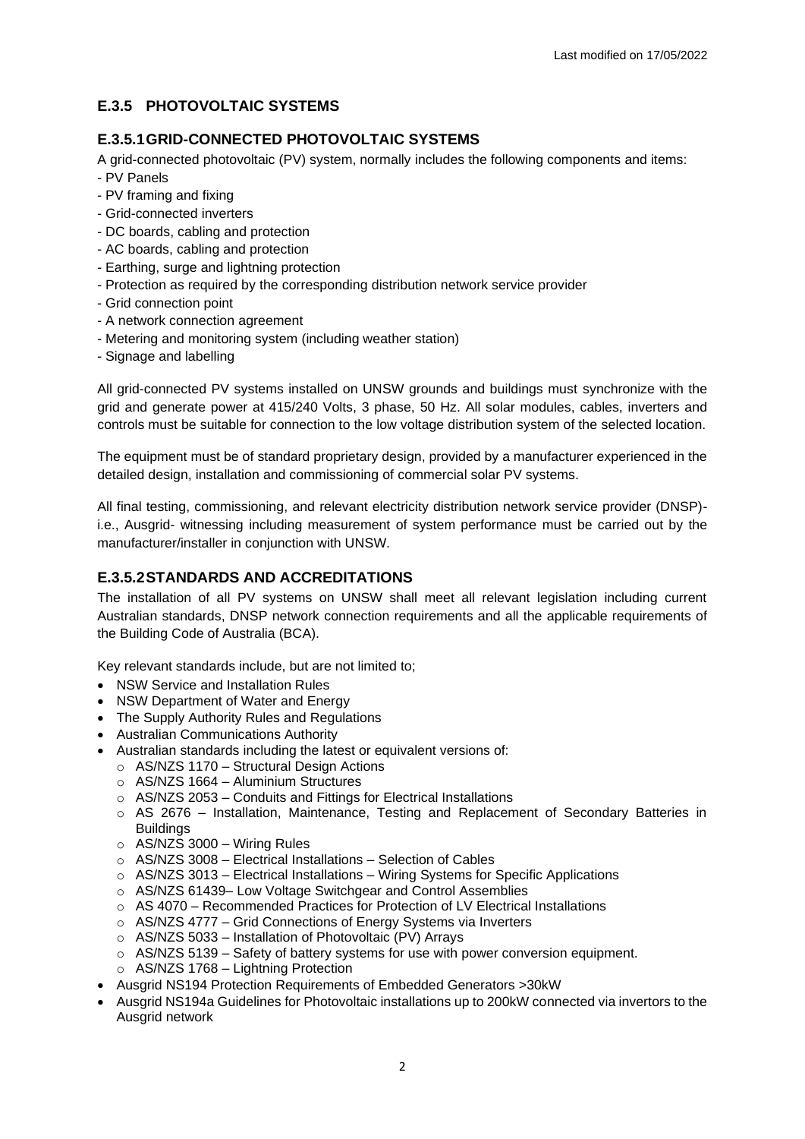# **E.3.5 PHOTOVOLTAIC SYSTEMS**

## **E.3.5.1GRID-CONNECTED PHOTOVOLTAIC SYSTEMS**

A grid-connected photovoltaic (PV) system, normally includes the following components and items:

- PV Panels
- PV framing and fixing
- Grid-connected inverters
- DC boards, cabling and protection
- AC boards, cabling and protection
- Earthing, surge and lightning protection
- Protection as required by the corresponding distribution network service provider
- Grid connection point
- A network connection agreement
- Metering and monitoring system (including weather station)
- Signage and labelling

All grid-connected PV systems installed on UNSW grounds and buildings must synchronize with the grid and generate power at 415/240 Volts, 3 phase, 50 Hz. All solar modules, cables, inverters and controls must be suitable for connection to the low voltage distribution system of the selected location.

The equipment must be of standard proprietary design, provided by a manufacturer experienced in the detailed design, installation and commissioning of commercial solar PV systems.

All final testing, commissioning, and relevant electricity distribution network service provider (DNSP) i.e., Ausgrid- witnessing including measurement of system performance must be carried out by the manufacturer/installer in conjunction with UNSW.

## **E.3.5.2STANDARDS AND ACCREDITATIONS**

The installation of all PV systems on UNSW shall meet all relevant legislation including current Australian standards, DNSP network connection requirements and all the applicable requirements of the Building Code of Australia (BCA).

Key relevant standards include, but are not limited to;

- NSW Service and Installation Rules
- NSW Department of Water and Energy
- The Supply Authority Rules and Regulations
- Australian Communications Authority
- Australian standards including the latest or equivalent versions of:
	- o AS/NZS 1170 Structural Design Actions
	- o AS/NZS 1664 Aluminium Structures
	- o AS/NZS 2053 Conduits and Fittings for Electrical Installations
	- o AS 2676 Installation, Maintenance, Testing and Replacement of Secondary Batteries in **Buildings**
	- o AS/NZS 3000 Wiring Rules
	- o AS/NZS 3008 Electrical Installations Selection of Cables
	- $\circ$  AS/NZS 3013 Electrical Installations Wiring Systems for Specific Applications
	- o AS/NZS 61439– Low Voltage Switchgear and Control Assemblies
	- $\circ$  AS 4070 Recommended Practices for Protection of LV Electrical Installations
	- o AS/NZS 4777 Grid Connections of Energy Systems via Inverters
	- o AS/NZS 5033 Installation of Photovoltaic (PV) Arrays
	- $\circ$  AS/NZS 5139 Safety of battery systems for use with power conversion equipment.
	- o AS/NZS 1768 Lightning Protection
- Ausgrid NS194 Protection Requirements of Embedded Generators >30kW
- Ausgrid NS194a Guidelines for Photovoltaic installations up to 200kW connected via invertors to the Ausgrid network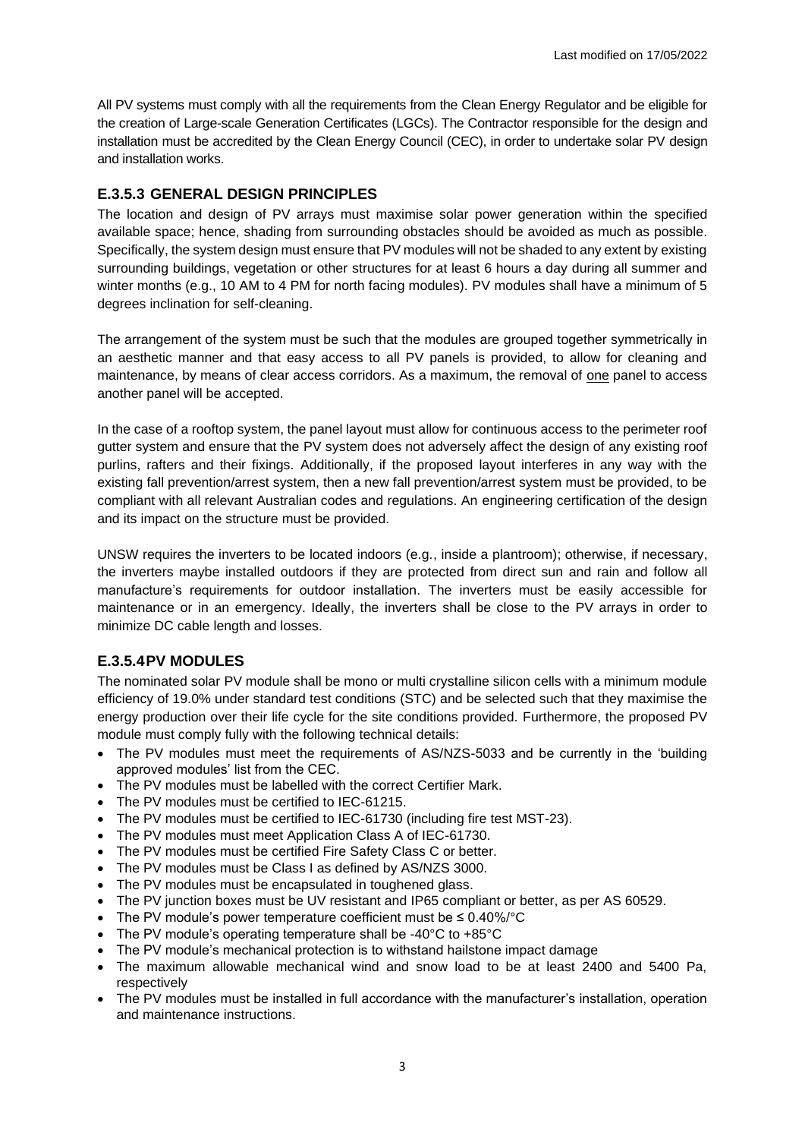All PV systems must comply with all the requirements from the Clean Energy Regulator and be eligible for the creation of Large-scale Generation Certificates (LGCs). The Contractor responsible for the design and installation must be accredited by the Clean Energy Council (CEC), in order to undertake solar PV design and installation works.

## **E.3.5.3 GENERAL DESIGN PRINCIPLES**

The location and design of PV arrays must maximise solar power generation within the specified available space; hence, shading from surrounding obstacles should be avoided as much as possible. Specifically, the system design must ensure that PV modules will not be shaded to any extent by existing surrounding buildings, vegetation or other structures for at least 6 hours a day during all summer and winter months (e.g., 10 AM to 4 PM for north facing modules). PV modules shall have a minimum of 5 degrees inclination for self-cleaning.

The arrangement of the system must be such that the modules are grouped together symmetrically in an aesthetic manner and that easy access to all PV panels is provided, to allow for cleaning and maintenance, by means of clear access corridors. As a maximum, the removal of one panel to access another panel will be accepted.

In the case of a rooftop system, the panel layout must allow for continuous access to the perimeter roof gutter system and ensure that the PV system does not adversely affect the design of any existing roof purlins, rafters and their fixings. Additionally, if the proposed layout interferes in any way with the existing fall prevention/arrest system, then a new fall prevention/arrest system must be provided, to be compliant with all relevant Australian codes and regulations. An engineering certification of the design and its impact on the structure must be provided.

UNSW requires the inverters to be located indoors (e.g., inside a plantroom); otherwise, if necessary, the inverters maybe installed outdoors if they are protected from direct sun and rain and follow all manufacture's requirements for outdoor installation. The inverters must be easily accessible for maintenance or in an emergency. Ideally, the inverters shall be close to the PV arrays in order to minimize DC cable length and losses.

## **E.3.5.4PV MODULES**

The nominated solar PV module shall be mono or multi crystalline silicon cells with a minimum module efficiency of 19.0% under standard test conditions (STC) and be selected such that they maximise the energy production over their life cycle for the site conditions provided. Furthermore, the proposed PV module must comply fully with the following technical details:

- The PV modules must meet the requirements of AS/NZS-5033 and be currently in the 'building approved modules' list from the CEC.
- The PV modules must be labelled with the correct Certifier Mark.
- The PV modules must be certified to IEC-61215.
- The PV modules must be certified to IEC-61730 (including fire test MST-23).
- The PV modules must meet Application Class A of IEC-61730.
- The PV modules must be certified Fire Safety Class C or better.
- The PV modules must be Class I as defined by AS/NZS 3000.
- The PV modules must be encapsulated in toughened glass.
- The PV junction boxes must be UV resistant and IP65 compliant or better, as per AS 60529.
- The PV module's power temperature coefficient must be ≤ 0.40%/°C
- The PV module's operating temperature shall be -40°C to +85°C
- The PV module's mechanical protection is to withstand hailstone impact damage
- The maximum allowable mechanical wind and snow load to be at least 2400 and 5400 Pa, respectively
- The PV modules must be installed in full accordance with the manufacturer's installation, operation and maintenance instructions.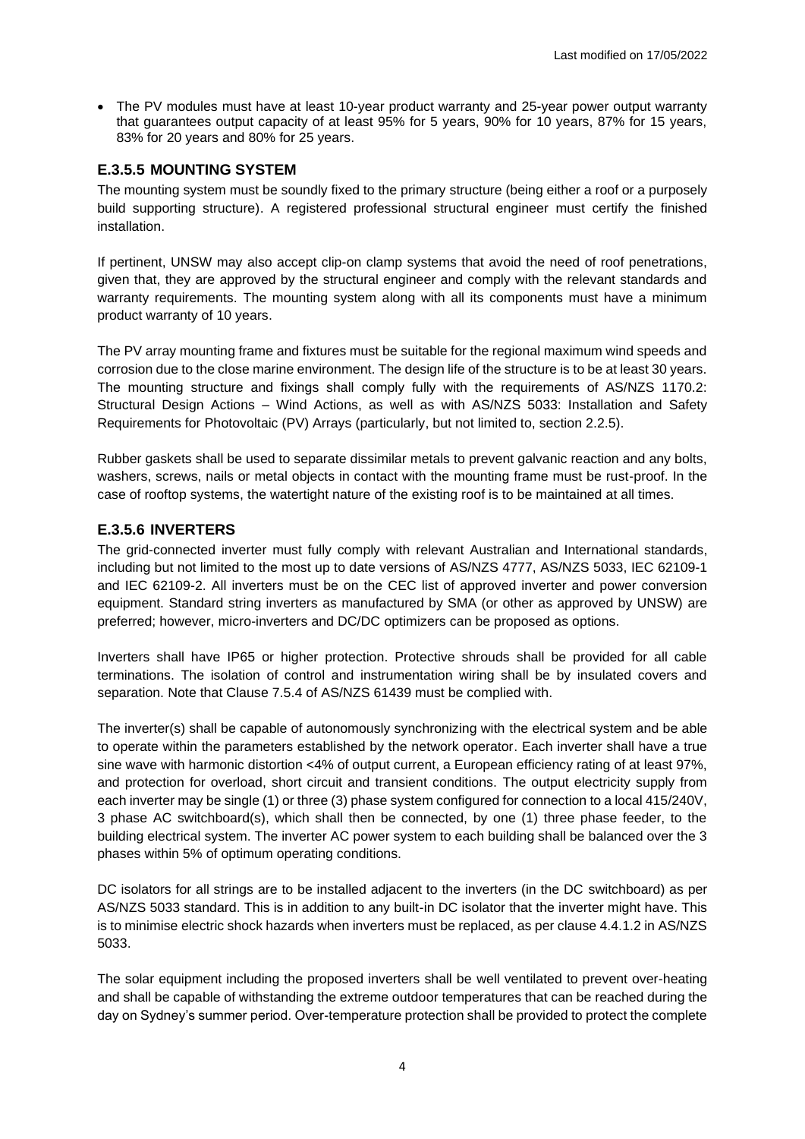• The PV modules must have at least 10-year product warranty and 25-year power output warranty that guarantees output capacity of at least 95% for 5 years, 90% for 10 years, 87% for 15 years, 83% for 20 years and 80% for 25 years.

#### **E.3.5.5 MOUNTING SYSTEM**

The mounting system must be soundly fixed to the primary structure (being either a roof or a purposely build supporting structure). A registered professional structural engineer must certify the finished installation.

If pertinent, UNSW may also accept clip-on clamp systems that avoid the need of roof penetrations, given that, they are approved by the structural engineer and comply with the relevant standards and warranty requirements. The mounting system along with all its components must have a minimum product warranty of 10 years.

The PV array mounting frame and fixtures must be suitable for the regional maximum wind speeds and corrosion due to the close marine environment. The design life of the structure is to be at least 30 years. The mounting structure and fixings shall comply fully with the requirements of AS/NZS 1170.2: Structural Design Actions – Wind Actions, as well as with AS/NZS 5033: Installation and Safety Requirements for Photovoltaic (PV) Arrays (particularly, but not limited to, section 2.2.5).

Rubber gaskets shall be used to separate dissimilar metals to prevent galvanic reaction and any bolts, washers, screws, nails or metal objects in contact with the mounting frame must be rust-proof. In the case of rooftop systems, the watertight nature of the existing roof is to be maintained at all times.

## **E.3.5.6 INVERTERS**

The grid-connected inverter must fully comply with relevant Australian and International standards, including but not limited to the most up to date versions of AS/NZS 4777, AS/NZS 5033, IEC 62109-1 and IEC 62109-2. All inverters must be on the CEC list of approved inverter and power conversion equipment. Standard string inverters as manufactured by SMA (or other as approved by UNSW) are preferred; however, micro-inverters and DC/DC optimizers can be proposed as options.

Inverters shall have IP65 or higher protection. Protective shrouds shall be provided for all cable terminations. The isolation of control and instrumentation wiring shall be by insulated covers and separation. Note that Clause 7.5.4 of AS/NZS 61439 must be complied with.

The inverter(s) shall be capable of autonomously synchronizing with the electrical system and be able to operate within the parameters established by the network operator. Each inverter shall have a true sine wave with harmonic distortion <4% of output current, a European efficiency rating of at least 97%, and protection for overload, short circuit and transient conditions. The output electricity supply from each inverter may be single (1) or three (3) phase system configured for connection to a local 415/240V, 3 phase AC switchboard(s), which shall then be connected, by one (1) three phase feeder, to the building electrical system. The inverter AC power system to each building shall be balanced over the 3 phases within 5% of optimum operating conditions.

DC isolators for all strings are to be installed adjacent to the inverters (in the DC switchboard) as per AS/NZS 5033 standard. This is in addition to any built-in DC isolator that the inverter might have. This is to minimise electric shock hazards when inverters must be replaced, as per clause 4.4.1.2 in AS/NZS 5033.

The solar equipment including the proposed inverters shall be well ventilated to prevent over-heating and shall be capable of withstanding the extreme outdoor temperatures that can be reached during the day on Sydney's summer period. Over-temperature protection shall be provided to protect the complete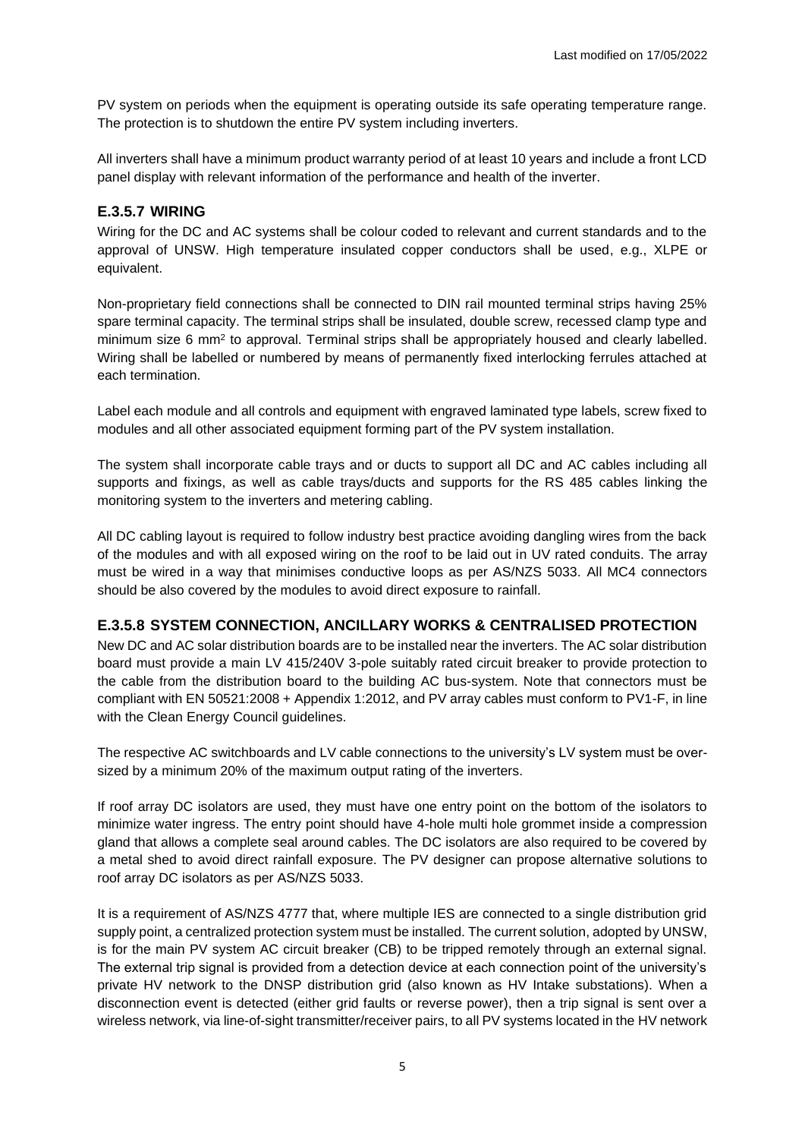PV system on periods when the equipment is operating outside its safe operating temperature range. The protection is to shutdown the entire PV system including inverters.

All inverters shall have a minimum product warranty period of at least 10 years and include a front LCD panel display with relevant information of the performance and health of the inverter.

#### **E.3.5.7 WIRING**

Wiring for the DC and AC systems shall be colour coded to relevant and current standards and to the approval of UNSW. High temperature insulated copper conductors shall be used, e.g., XLPE or equivalent.

Non-proprietary field connections shall be connected to DIN rail mounted terminal strips having 25% spare terminal capacity. The terminal strips shall be insulated, double screw, recessed clamp type and minimum size 6 mm<sup>2</sup> to approval. Terminal strips shall be appropriately housed and clearly labelled. Wiring shall be labelled or numbered by means of permanently fixed interlocking ferrules attached at each termination.

Label each module and all controls and equipment with engraved laminated type labels, screw fixed to modules and all other associated equipment forming part of the PV system installation.

The system shall incorporate cable trays and or ducts to support all DC and AC cables including all supports and fixings, as well as cable trays/ducts and supports for the RS 485 cables linking the monitoring system to the inverters and metering cabling.

All DC cabling layout is required to follow industry best practice avoiding dangling wires from the back of the modules and with all exposed wiring on the roof to be laid out in UV rated conduits. The array must be wired in a way that minimises conductive loops as per AS/NZS 5033. All MC4 connectors should be also covered by the modules to avoid direct exposure to rainfall.

## **E.3.5.8 SYSTEM CONNECTION, ANCILLARY WORKS & CENTRALISED PROTECTION**

New DC and AC solar distribution boards are to be installed near the inverters. The AC solar distribution board must provide a main LV 415/240V 3-pole suitably rated circuit breaker to provide protection to the cable from the distribution board to the building AC bus-system. Note that connectors must be compliant with EN 50521:2008 + Appendix 1:2012, and PV array cables must conform to PV1-F, in line with the Clean Energy Council guidelines.

The respective AC switchboards and LV cable connections to the university's LV system must be oversized by a minimum 20% of the maximum output rating of the inverters.

If roof array DC isolators are used, they must have one entry point on the bottom of the isolators to minimize water ingress. The entry point should have 4-hole multi hole grommet inside a compression gland that allows a complete seal around cables. The DC isolators are also required to be covered by a metal shed to avoid direct rainfall exposure. The PV designer can propose alternative solutions to roof array DC isolators as per AS/NZS 5033.

It is a requirement of AS/NZS 4777 that, where multiple IES are connected to a single distribution grid supply point, a centralized protection system must be installed. The current solution, adopted by UNSW, is for the main PV system AC circuit breaker (CB) to be tripped remotely through an external signal. The external trip signal is provided from a detection device at each connection point of the university's private HV network to the DNSP distribution grid (also known as HV Intake substations). When a disconnection event is detected (either grid faults or reverse power), then a trip signal is sent over a wireless network, via line-of-sight transmitter/receiver pairs, to all PV systems located in the HV network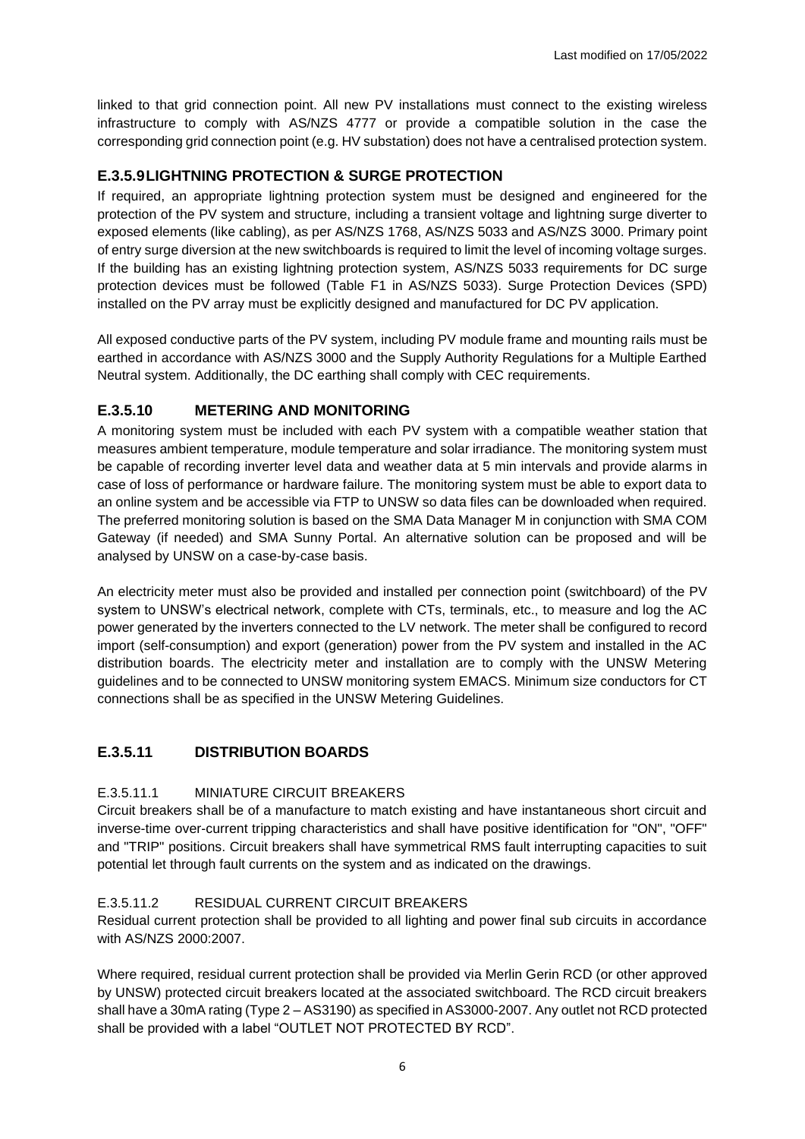linked to that grid connection point. All new PV installations must connect to the existing wireless infrastructure to comply with AS/NZS 4777 or provide a compatible solution in the case the corresponding grid connection point (e.g. HV substation) does not have a centralised protection system.

## **E.3.5.9LIGHTNING PROTECTION & SURGE PROTECTION**

If required, an appropriate lightning protection system must be designed and engineered for the protection of the PV system and structure, including a transient voltage and lightning surge diverter to exposed elements (like cabling), as per AS/NZS 1768, AS/NZS 5033 and AS/NZS 3000. Primary point of entry surge diversion at the new switchboards is required to limit the level of incoming voltage surges. If the building has an existing lightning protection system, AS/NZS 5033 requirements for DC surge protection devices must be followed (Table F1 in AS/NZS 5033). Surge Protection Devices (SPD) installed on the PV array must be explicitly designed and manufactured for DC PV application.

All exposed conductive parts of the PV system, including PV module frame and mounting rails must be earthed in accordance with AS/NZS 3000 and the Supply Authority Regulations for a Multiple Earthed Neutral system. Additionally, the DC earthing shall comply with CEC requirements.

## **E.3.5.10 METERING AND MONITORING**

A monitoring system must be included with each PV system with a compatible weather station that measures ambient temperature, module temperature and solar irradiance. The monitoring system must be capable of recording inverter level data and weather data at 5 min intervals and provide alarms in case of loss of performance or hardware failure. The monitoring system must be able to export data to an online system and be accessible via FTP to UNSW so data files can be downloaded when required. The preferred monitoring solution is based on the SMA Data Manager M in conjunction with SMA COM Gateway (if needed) and SMA Sunny Portal. An alternative solution can be proposed and will be analysed by UNSW on a case-by-case basis.

An electricity meter must also be provided and installed per connection point (switchboard) of the PV system to UNSW's electrical network, complete with CTs, terminals, etc., to measure and log the AC power generated by the inverters connected to the LV network. The meter shall be configured to record import (self-consumption) and export (generation) power from the PV system and installed in the AC distribution boards. The electricity meter and installation are to comply with the UNSW Metering guidelines and to be connected to UNSW monitoring system EMACS. Minimum size conductors for CT connections shall be as specified in the UNSW Metering Guidelines.

## **E.3.5.11 DISTRIBUTION BOARDS**

#### E.3.5.11.1 MINIATURE CIRCUIT BREAKERS

Circuit breakers shall be of a manufacture to match existing and have instantaneous short circuit and inverse-time over-current tripping characteristics and shall have positive identification for "ON", "OFF" and "TRIP" positions. Circuit breakers shall have symmetrical RMS fault interrupting capacities to suit potential let through fault currents on the system and as indicated on the drawings.

#### E.3.5.11.2 RESIDUAL CURRENT CIRCUIT BREAKERS

Residual current protection shall be provided to all lighting and power final sub circuits in accordance with AS/NZS 2000:2007.

Where required, residual current protection shall be provided via Merlin Gerin RCD (or other approved by UNSW) protected circuit breakers located at the associated switchboard. The RCD circuit breakers shall have a 30mA rating (Type 2 – AS3190) as specified in AS3000-2007. Any outlet not RCD protected shall be provided with a label "OUTLET NOT PROTECTED BY RCD".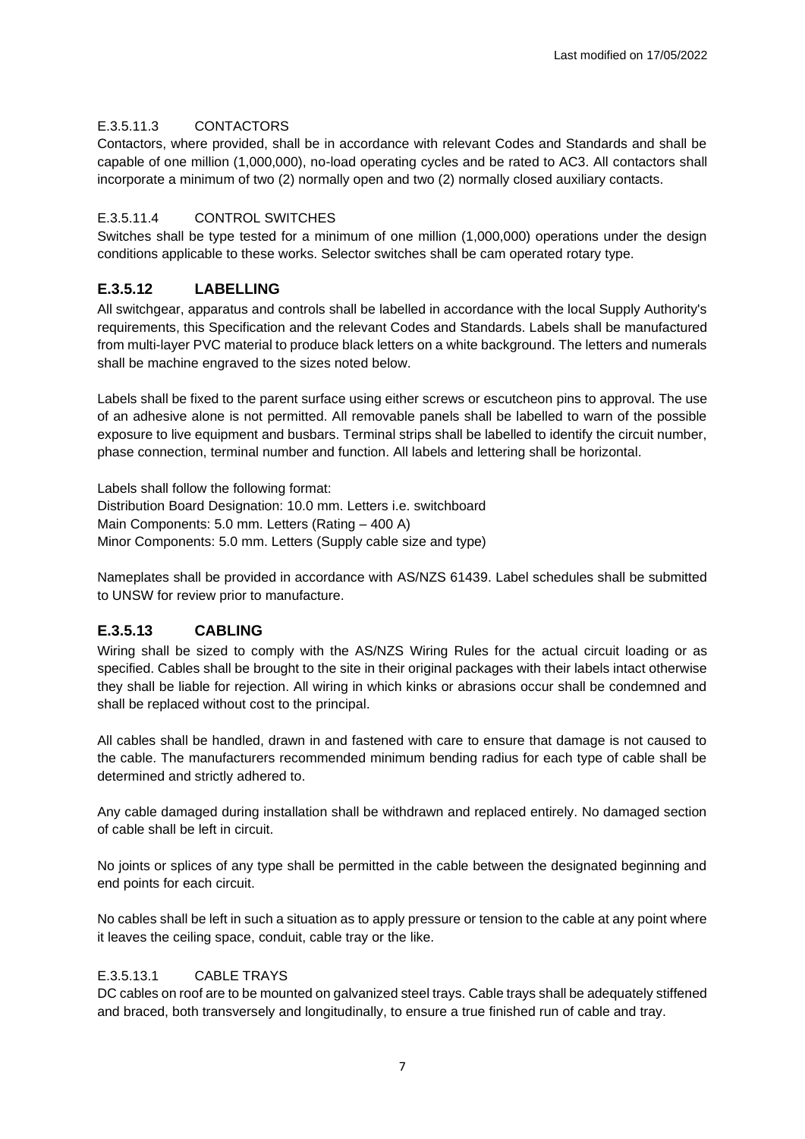#### E.3.5.11.3 CONTACTORS

Contactors, where provided, shall be in accordance with relevant Codes and Standards and shall be capable of one million (1,000,000), no-load operating cycles and be rated to AC3. All contactors shall incorporate a minimum of two (2) normally open and two (2) normally closed auxiliary contacts.

#### E.3.5.11.4 CONTROL SWITCHES

Switches shall be type tested for a minimum of one million (1,000,000) operations under the design conditions applicable to these works. Selector switches shall be cam operated rotary type.

# **E.3.5.12 LABELLING**

All switchgear, apparatus and controls shall be labelled in accordance with the local Supply Authority's requirements, this Specification and the relevant Codes and Standards. Labels shall be manufactured from multi-layer PVC material to produce black letters on a white background. The letters and numerals shall be machine engraved to the sizes noted below.

Labels shall be fixed to the parent surface using either screws or escutcheon pins to approval. The use of an adhesive alone is not permitted. All removable panels shall be labelled to warn of the possible exposure to live equipment and busbars. Terminal strips shall be labelled to identify the circuit number, phase connection, terminal number and function. All labels and lettering shall be horizontal.

Labels shall follow the following format: Distribution Board Designation: 10.0 mm. Letters i.e. switchboard Main Components: 5.0 mm. Letters (Rating – 400 A) Minor Components: 5.0 mm. Letters (Supply cable size and type)

Nameplates shall be provided in accordance with AS/NZS 61439. Label schedules shall be submitted to UNSW for review prior to manufacture.

# **E.3.5.13 CABLING**

Wiring shall be sized to comply with the AS/NZS Wiring Rules for the actual circuit loading or as specified. Cables shall be brought to the site in their original packages with their labels intact otherwise they shall be liable for rejection. All wiring in which kinks or abrasions occur shall be condemned and shall be replaced without cost to the principal.

All cables shall be handled, drawn in and fastened with care to ensure that damage is not caused to the cable. The manufacturers recommended minimum bending radius for each type of cable shall be determined and strictly adhered to.

Any cable damaged during installation shall be withdrawn and replaced entirely. No damaged section of cable shall be left in circuit.

No joints or splices of any type shall be permitted in the cable between the designated beginning and end points for each circuit.

No cables shall be left in such a situation as to apply pressure or tension to the cable at any point where it leaves the ceiling space, conduit, cable tray or the like.

#### E.3.5.13.1 CABLE TRAYS

DC cables on roof are to be mounted on galvanized steel trays. Cable trays shall be adequately stiffened and braced, both transversely and longitudinally, to ensure a true finished run of cable and tray.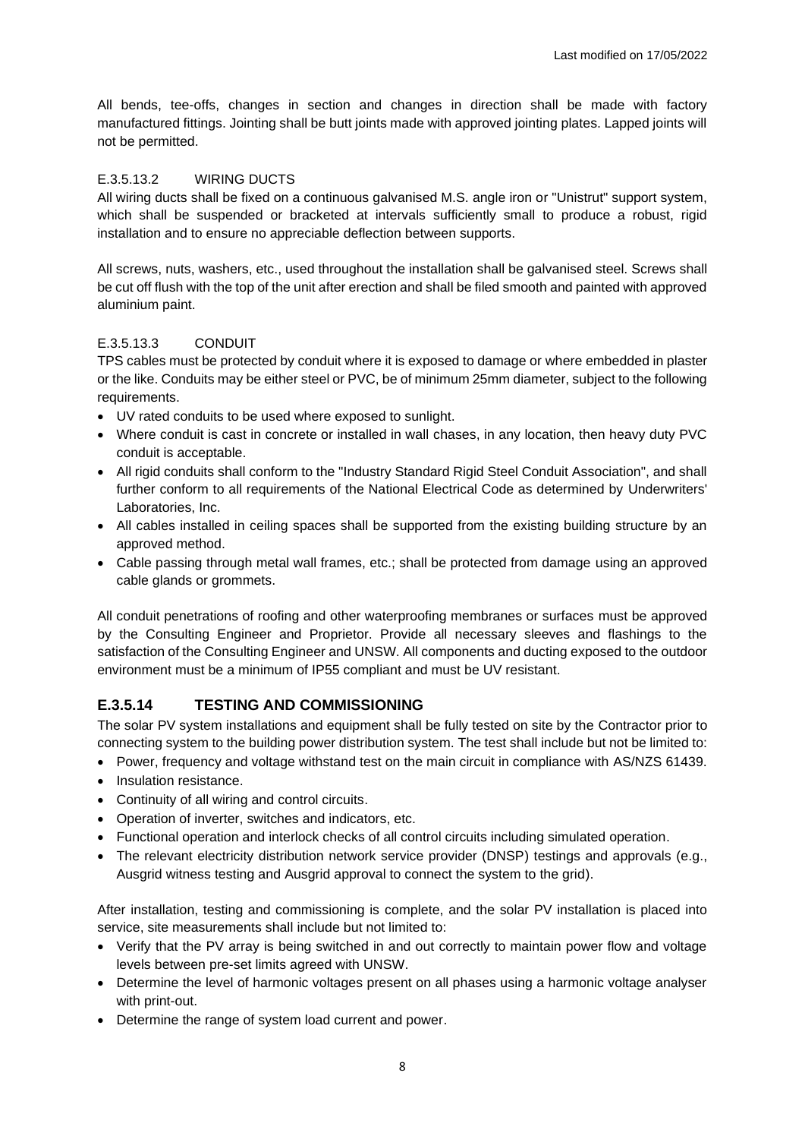All bends, tee-offs, changes in section and changes in direction shall be made with factory manufactured fittings. Jointing shall be butt joints made with approved jointing plates. Lapped joints will not be permitted.

#### E.3.5.13.2 WIRING DUCTS

All wiring ducts shall be fixed on a continuous galvanised M.S. angle iron or "Unistrut" support system, which shall be suspended or bracketed at intervals sufficiently small to produce a robust, rigid installation and to ensure no appreciable deflection between supports.

All screws, nuts, washers, etc., used throughout the installation shall be galvanised steel. Screws shall be cut off flush with the top of the unit after erection and shall be filed smooth and painted with approved aluminium paint.

#### E.3.5.13.3 CONDUIT

TPS cables must be protected by conduit where it is exposed to damage or where embedded in plaster or the like. Conduits may be either steel or PVC, be of minimum 25mm diameter, subject to the following requirements.

- UV rated conduits to be used where exposed to sunlight.
- Where conduit is cast in concrete or installed in wall chases, in any location, then heavy duty PVC conduit is acceptable.
- All rigid conduits shall conform to the "Industry Standard Rigid Steel Conduit Association", and shall further conform to all requirements of the National Electrical Code as determined by Underwriters' Laboratories, Inc.
- All cables installed in ceiling spaces shall be supported from the existing building structure by an approved method.
- Cable passing through metal wall frames, etc.; shall be protected from damage using an approved cable glands or grommets.

All conduit penetrations of roofing and other waterproofing membranes or surfaces must be approved by the Consulting Engineer and Proprietor. Provide all necessary sleeves and flashings to the satisfaction of the Consulting Engineer and UNSW. All components and ducting exposed to the outdoor environment must be a minimum of IP55 compliant and must be UV resistant.

# **E.3.5.14 TESTING AND COMMISSIONING**

The solar PV system installations and equipment shall be fully tested on site by the Contractor prior to connecting system to the building power distribution system. The test shall include but not be limited to:

- Power, frequency and voltage withstand test on the main circuit in compliance with AS/NZS 61439.
- Insulation resistance.
- Continuity of all wiring and control circuits.
- Operation of inverter, switches and indicators, etc.
- Functional operation and interlock checks of all control circuits including simulated operation.
- The relevant electricity distribution network service provider (DNSP) testings and approvals (e.g., Ausgrid witness testing and Ausgrid approval to connect the system to the grid).

After installation, testing and commissioning is complete, and the solar PV installation is placed into service, site measurements shall include but not limited to:

- Verify that the PV array is being switched in and out correctly to maintain power flow and voltage levels between pre-set limits agreed with UNSW.
- Determine the level of harmonic voltages present on all phases using a harmonic voltage analyser with print-out.
- Determine the range of system load current and power.